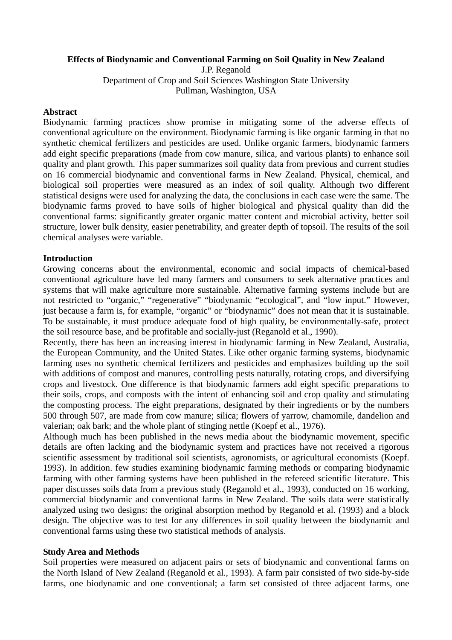## **Effects of Biodynamic and Conventional Farming on Soil Quality in New Zealand**

J.P. Reganold Department of Crop and Soil Sciences Washington State University Pullman, Washington, USA

## **Abstract**

Biodynamic farming practices show promise in mitigating some of the adverse effects of conventional agriculture on the environment. Biodynamic farming is like organic farming in that no synthetic chemical fertilizers and pesticides are used. Unlike organic farmers, biodynamic farmers add eight specific preparations (made from cow manure, silica, and various plants) to enhance soil quality and plant growth. This paper summarizes soil quality data from previous and current studies on 16 commercial biodynamic and conventional farms in New Zealand. Physical, chemical, and biological soil properties were measured as an index of soil quality. Although two different statistical designs were used for analyzing the data, the conclusions in each case were the same. The biodynamic farms proved to have soils of higher biological and physical quality than did the conventional farms: significantly greater organic matter content and microbial activity, better soil structure, lower bulk density, easier penetrability, and greater depth of topsoil. The results of the soil chemical analyses were variable.

## **Introduction**

Growing concerns about the environmental, economic and social impacts of chemical-based conventional agriculture have led many farmers and consumers to seek alternative practices and systems that will make agriculture more sustainable. Alternative farming systems include but are not restricted to "organic," "regenerative" "biodynamic "ecological", and "low input." However, just because a farm is, for example, "organic" or "biodynamic" does not mean that it is sustainable. To be sustainable, it must produce adequate food of high quality, be environmentally-safe, protect the soil resource base, and be profitable and socially-just (Reganold et al., 1990).

Recently, there has been an increasing interest in biodynamic farming in New Zealand, Australia, the European Community, and the United States. Like other organic farming systems, biodynamic farming uses no synthetic chemical fertilizers and pesticides and emphasizes building up the soil with additions of compost and manures, controlling pests naturally, rotating crops, and diversifying crops and livestock. One difference is that biodynamic farmers add eight specific preparations to their soils, crops, and composts with the intent of enhancing soil and crop quality and stimulating the composting process. The eight preparations, designated by their ingredients or by the numbers 500 through 507, are made from cow manure; silica; flowers of yarrow, chamomile, dandelion and valerian; oak bark; and the whole plant of stinging nettle (Koepf et al., 1976).

Although much has been published in the news media about the biodynamic movement, specific details are often lacking and the biodynamic system and practices have not received a rigorous scientific assessment by traditional soil scientists, agronomists, or agricultural economists (Koepf. 1993). In addition. few studies examining biodynamic farming methods or comparing biodynamic farming with other farming systems have been published in the refereed scientific literature. This paper discusses soils data from a previous study (Reganold et al., 1993), conducted on 16 working, commercial biodynamic and conventional farms in New Zealand. The soils data were statistically analyzed using two designs: the original absorption method by Reganold et al. (1993) and a block design. The objective was to test for any differences in soil quality between the biodynamic and conventional farms using these two statistical methods of analysis.

#### **Study Area and Methods**

Soil properties were measured on adjacent pairs or sets of biodynamic and conventional farms on the North Island of New Zealand (Reganold et al., 1993). A farm pair consisted of two side-by-side farms, one biodynamic and one conventional; a farm set consisted of three adjacent farms, one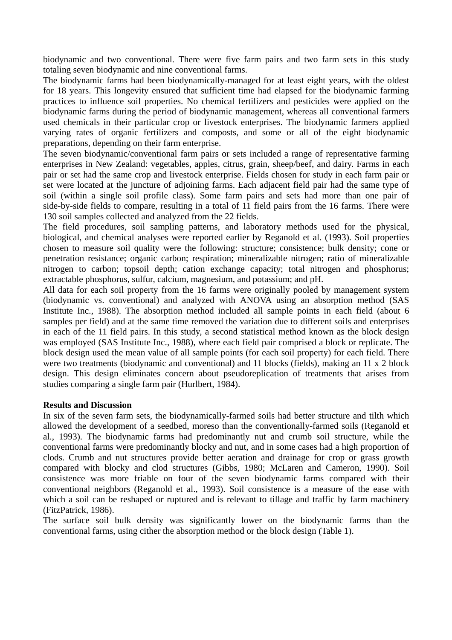biodynamic and two conventional. There were five farm pairs and two farm sets in this study totaling seven biodynamic and nine conventional farms.

The biodynamic farms had been biodynamically-managed for at least eight years, with the oldest for 18 years. This longevity ensured that sufficient time had elapsed for the biodynamic farming practices to influence soil properties. No chemical fertilizers and pesticides were applied on the biodynamic farms during the period of biodynamic management, whereas all conventional farmers used chemicals in their particular crop or livestock enterprises. The biodynamic farmers applied varying rates of organic fertilizers and composts, and some or all of the eight biodynamic preparations, depending on their farm enterprise.

The seven biodynamic/conventional farm pairs or sets included a range of representative farming enterprises in New Zealand: vegetables, apples, citrus, grain, sheep/beef, and dairy. Farms in each pair or set had the same crop and livestock enterprise. Fields chosen for study in each farm pair or set were located at the juncture of adjoining farms. Each adjacent field pair had the same type of soil (within a single soil profile class). Some farm pairs and sets had more than one pair of side-by-side fields to compare, resulting in a total of 11 field pairs from the 16 farms. There were 130 soil samples collected and analyzed from the 22 fields.

The field procedures, soil sampling patterns, and laboratory methods used for the physical, biological, and chemical analyses were reported earlier by Reganold et al. (1993). Soil properties chosen to measure soil quality were the following: structure; consistence; bulk density; cone or penetration resistance; organic carbon; respiration; mineralizable nitrogen; ratio of mineralizable nitrogen to carbon; topsoil depth; cation exchange capacity; total nitrogen and phosphorus; extractable phosphorus, sulfur, calcium, magnesium, and potassium; and pH.

All data for each soil property from the 16 farms were originally pooled by management system (biodynamic vs. conventional) and analyzed with ANOVA using an absorption method (SAS Institute Inc., 1988). The absorption method included all sample points in each field (about 6 samples per field) and at the same time removed the variation due to different soils and enterprises in each of the 11 field pairs. In this study, a second statistical method known as the block design was employed (SAS Institute Inc., 1988), where each field pair comprised a block or replicate. The block design used the mean value of all sample points (for each soil property) for each field. There were two treatments (biodynamic and conventional) and 11 blocks (fields), making an 11 x 2 block design. This design eliminates concern about pseudoreplication of treatments that arises from studies comparing a single farm pair (Hurlbert, 1984).

## **Results and Discussion**

In six of the seven farm sets, the biodynamically-farmed soils had better structure and tilth which allowed the development of a seedbed, moreso than the conventionally-farmed soils (Reganold et al., 1993). The biodynamic farms had predominantly nut and crumb soil structure, while the conventional farms were predominantly blocky and nut, and in some cases had a high proportion of clods. Crumb and nut structures provide better aeration and drainage for crop or grass growth compared with blocky and clod structures (Gibbs, 1980; McLaren and Cameron, 1990). Soil consistence was more friable on four of the seven biodynamic farms compared with their conventional neighbors (Reganold et al., 1993). Soil consistence is a measure of the ease with which a soil can be reshaped or ruptured and is relevant to tillage and traffic by farm machinery (FitzPatrick, 1986).

The surface soil bulk density was significantly lower on the biodynamic farms than the conventional farms, using cither the absorption method or the block design (Table 1).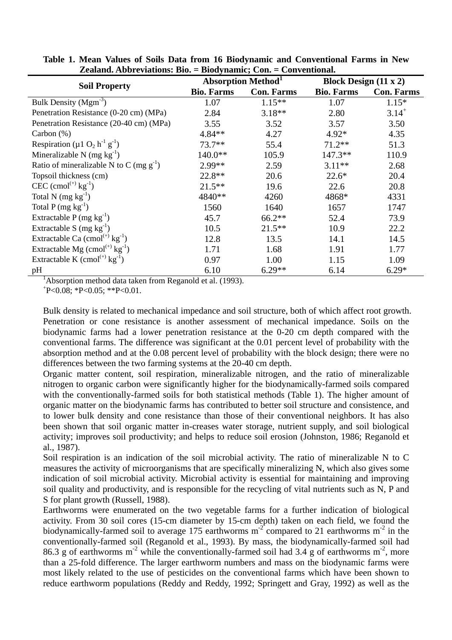| <b>Soil Property</b>                                                   | <b>Absorption Method</b> <sup>1</sup> |                   | Block Design $(11 \times 2)$ |                   |
|------------------------------------------------------------------------|---------------------------------------|-------------------|------------------------------|-------------------|
|                                                                        | <b>Bio. Farms</b>                     | <b>Con. Farms</b> | <b>Bio. Farms</b>            | <b>Con. Farms</b> |
| Bulk Density $(Mgm-3)$                                                 | 1.07                                  | $1.15***$         | 1.07                         | $1.15*$           |
| Penetration Resistance (0-20 cm) (MPa)                                 | 2.84                                  | $3.18**$          | 2.80                         | $3.14^{+}$        |
| Penetration Resistance (20-40 cm) (MPa)                                | 3.55                                  | 3.52              | 3.57                         | 3.50              |
| Carbon $(\%)$                                                          | 4.84**                                | 4.27              | $4.92*$                      | 4.35              |
| Respiration ( $\mu$ 1 O <sub>2</sub> h <sup>-1</sup> g <sup>-1</sup> ) | 73.7**                                | 55.4              | $71.2**$                     | 51.3              |
| Mineralizable N (mg $kg^{-1}$ )                                        | $140.0**$                             | 105.9             | 147.3**                      | 110.9             |
| Ratio of mineralizable N to C (mg $g^{-1}$ )                           | 2.99**                                | 2.59              | $3.11**$                     | 2.68              |
| Topsoil thickness (cm)                                                 | 22.8**                                | 20.6              | $22.6*$                      | 20.4              |
| $CEC (cmol(+) kg-1)$                                                   | $21.5***$                             | 19.6              | 22.6                         | 20.8              |
| Total N $(mg kg^{-1})$                                                 | 4840**                                | 4260              | 4868*                        | 4331              |
| Total P (mg $kg^{-1}$ )                                                | 1560                                  | 1640              | 1657                         | 1747              |
| Extractable $P(mg kg^{-1})$                                            | 45.7                                  | $66.2**$          | 52.4                         | 73.9              |
| Extractable S $(mg kg^{-1})$                                           | 10.5                                  | $21.5***$         | 10.9                         | 22.2              |
| Extractable Ca $(cmol^{(+)}kg^{-1})$                                   | 12.8                                  | 13.5              | 14.1                         | 14.5              |
| Extractable Mg $(cmol^{(+)}kg^{-1})$                                   | 1.71                                  | 1.68              | 1.91                         | 1.77              |
| Extractable K (cmol <sup>(+)</sup> $kg^{-1}$ )                         | 0.97                                  | 1.00              | 1.15                         | 1.09              |
| pH                                                                     | 6.10                                  | $6.29**$          | 6.14                         | $6.29*$           |

**Table 1. Mean Values of Soils Data from 16 Biodynamic and Conventional Farms in New Zealand. Abbreviations: Bio. = Biodynamic; Con. = Conventional.** 

<sup>1</sup>Absorption method data taken from Reganold et al. (1993).

 $+P<0.08$ ;  $+P<0.05$ ;  $+P<0.01$ .

Bulk density is related to mechanical impedance and soil structure, both of which affect root growth. Penetration or cone resistance is another assessment of mechanical impedance. Soils on the biodynamic farms had a lower penetration resistance at the 0-20 cm depth compared with the conventional farms. The difference was significant at the 0.01 percent level of probability with the absorption method and at the 0.08 percent level of probability with the block design; there were no differences between the two farming systems at the 20-40 cm depth.

Organic matter content, soil respiration, mineralizable nitrogen, and the ratio of mineralizable nitrogen to organic carbon were significantly higher for the biodynamically-farmed soils compared with the conventionally-farmed soils for both statistical methods (Table 1). The higher amount of organic matter on the biodynamic farms has contributed to better soil structure and consistence, and to lower bulk density and cone resistance than those of their conventional neighbors. It has also been shown that soil organic matter in-creases water storage, nutrient supply, and soil biological activity; improves soil productivity; and helps to reduce soil erosion (Johnston, 1986; Reganold et al., 1987).

Soil respiration is an indication of the soil microbial activity. The ratio of mineralizable N to C measures the activity of microorganisms that are specifically mineralizing N, which also gives some indication of soil microbial activity. Microbial activity is essential for maintaining and improving soil quality and productivity, and is responsible for the recycling of vital nutrients such as N, P and S for plant growth (Russell, 1988).

Earthworms were enumerated on the two vegetable farms for a further indication of biological activity. From 30 soil cores (15-cm diameter by 15-cm depth) taken on each field, we found the biodynamically-farmed soil to average 175 earthworms  $m<sup>2</sup>$  compared to 21 earthworms  $m<sup>2</sup>$  in the conventionally-farmed soil (Reganold et al., 1993). By mass, the biodynamically-farmed soil had 86.3 g of earthworms m<sup>-2</sup> while the conventionally-farmed soil had 3.4 g of earthworms m<sup>-2</sup>, more than a 25-fold difference. The larger earthworm numbers and mass on the biodynamic farms were most likely related to the use of pesticides on the conventional farms which have been shown to reduce earthworm populations (Reddy and Reddy, 1992; Springett and Gray, 1992) as well as the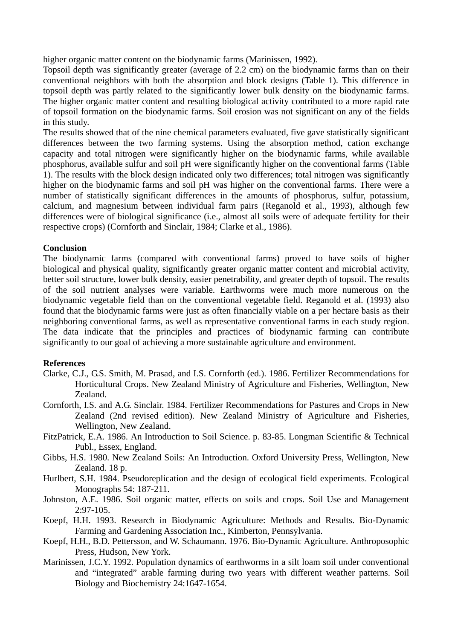higher organic matter content on the biodynamic farms (Marinissen, 1992).

Topsoil depth was significantly greater (average of 2.2 cm) on the biodynamic farms than on their conventional neighbors with both the absorption and block designs (Table 1). This difference in topsoil depth was partly related to the significantly lower bulk density on the biodynamic farms. The higher organic matter content and resulting biological activity contributed to a more rapid rate of topsoil formation on the biodynamic farms. Soil erosion was not significant on any of the fields in this study.

The results showed that of the nine chemical parameters evaluated, five gave statistically significant differences between the two farming systems. Using the absorption method, cation exchange capacity and total nitrogen were significantly higher on the biodynamic farms, while available phosphorus, available sulfur and soil pH were significantly higher on the conventional farms (Table 1). The results with the block design indicated only two differences; total nitrogen was significantly higher on the biodynamic farms and soil pH was higher on the conventional farms. There were a number of statistically significant differences in the amounts of phosphorus, sulfur, potassium, calcium, and magnesium between individual farm pairs (Reganold et al., 1993), although few differences were of biological significance (i.e., almost all soils were of adequate fertility for their respective crops) (Cornforth and Sinclair, 1984; Clarke et al., 1986).

# **Conclusion**

The biodynamic farms (compared with conventional farms) proved to have soils of higher biological and physical quality, significantly greater organic matter content and microbial activity, better soil structure, lower bulk density, easier penetrability, and greater depth of topsoil. The results of the soil nutrient analyses were variable. Earthworms were much more numerous on the biodynamic vegetable field than on the conventional vegetable field. Reganold et al. (1993) also found that the biodynamic farms were just as often financially viable on a per hectare basis as their neighboring conventional farms, as well as representative conventional farms in each study region. The data indicate that the principles and practices of biodynamic farming can contribute significantly to our goal of achieving a more sustainable agriculture and environment.

## **References**

- Clarke, C.J., G.S. Smith, M. Prasad, and I.S. Cornforth (ed.). 1986. Fertilizer Recommendations for Horticultural Crops. New Zealand Ministry of Agriculture and Fisheries, Wellington, New Zealand.
- Cornforth, I.S. and A.G. Sinclair. 1984. Fertilizer Recommendations for Pastures and Crops in New Zealand (2nd revised edition). New Zealand Ministry of Agriculture and Fisheries, Wellington, New Zealand.
- FitzPatrick, E.A. 1986. An Introduction to Soil Science. p. 83-85. Longman Scientific & Technical Publ., Essex, England.
- Gibbs, H.S. 1980. New Zealand Soils: An Introduction. Oxford University Press, Wellington, New Zealand. 18 p.
- Hurlbert, S.H. 1984. Pseudoreplication and the design of ecological field experiments. Ecological Monographs 54: 187-211.
- Johnston, A.E. 1986. Soil organic matter, effects on soils and crops. Soil Use and Management 2:97-105.
- Koepf, H.H. 1993. Research in Biodynamic Agriculture: Methods and Results. Bio-Dynamic Farming and Gardening Association Inc., Kimberton, Pennsylvania.
- Koepf, H.H., B.D. Pettersson, and W. Schaumann. 1976. Bio-Dynamic Agriculture. Anthroposophic Press, Hudson, New York.
- Marinissen, J.C.Y. 1992. Population dynamics of earthworms in a silt loam soil under conventional and "integrated" arable farming during two years with different weather patterns. Soil Biology and Biochemistry 24:1647-1654.